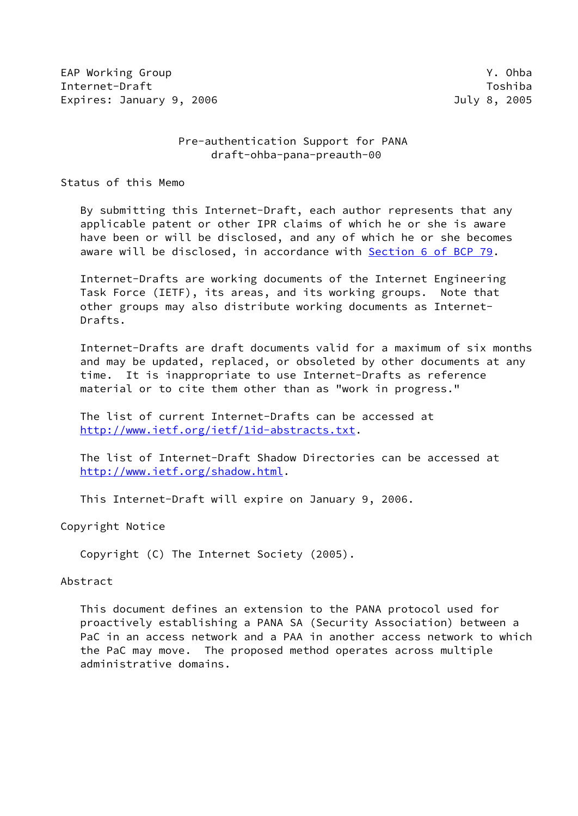EAP Working Group 8. The state of the state of the state of the state of the state of the state of the state of the state of the state of the state of the state of the state of the state of the state of the state of the st Internet-Draft Toshiba Expires: January 9, 2006 **July 8, 2005** 

## Pre-authentication Support for PANA draft-ohba-pana-preauth-00

Status of this Memo

 By submitting this Internet-Draft, each author represents that any applicable patent or other IPR claims of which he or she is aware have been or will be disclosed, and any of which he or she becomes aware will be disclosed, in accordance with Section [6 of BCP 79.](https://datatracker.ietf.org/doc/pdf/bcp79#section-6)

 Internet-Drafts are working documents of the Internet Engineering Task Force (IETF), its areas, and its working groups. Note that other groups may also distribute working documents as Internet- Drafts.

 Internet-Drafts are draft documents valid for a maximum of six months and may be updated, replaced, or obsoleted by other documents at any time. It is inappropriate to use Internet-Drafts as reference material or to cite them other than as "work in progress."

 The list of current Internet-Drafts can be accessed at <http://www.ietf.org/ietf/1id-abstracts.txt>.

 The list of Internet-Draft Shadow Directories can be accessed at <http://www.ietf.org/shadow.html>.

This Internet-Draft will expire on January 9, 2006.

Copyright Notice

Copyright (C) The Internet Society (2005).

## Abstract

 This document defines an extension to the PANA protocol used for proactively establishing a PANA SA (Security Association) between a PaC in an access network and a PAA in another access network to which the PaC may move. The proposed method operates across multiple administrative domains.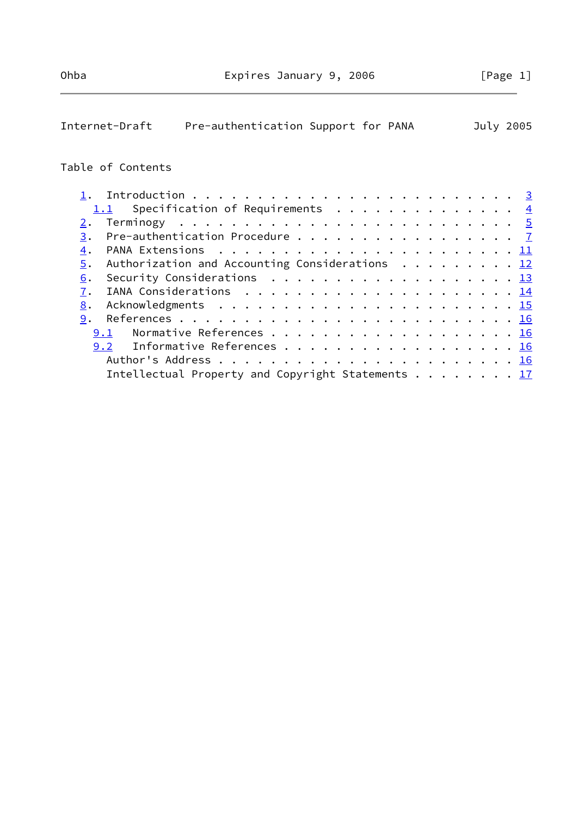# Internet-Draft Pre-authentication Support for PANA July 2005

# Table of Contents

| 1.1 Specification of Requirements 4                              |  |
|------------------------------------------------------------------|--|
|                                                                  |  |
| 3. Pre-authentication Procedure 7                                |  |
| 4.                                                               |  |
| $\underline{5}$ . Authorization and Accounting Considerations 12 |  |
| 6.                                                               |  |
|                                                                  |  |
|                                                                  |  |
|                                                                  |  |
| 9.1 Normative References 16                                      |  |
| 9.2 Informative References 16                                    |  |
|                                                                  |  |
| Intellectual Property and Copyright Statements 17                |  |
|                                                                  |  |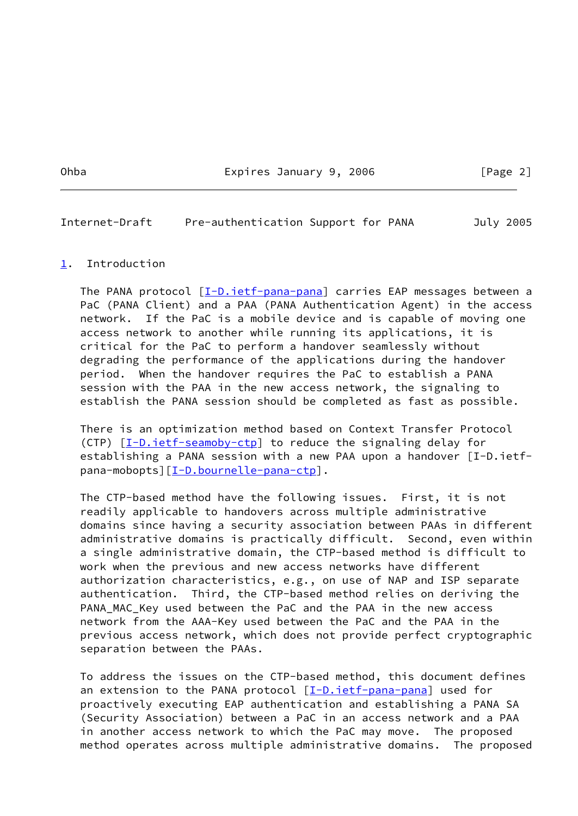Ohba **Expires January 9, 2006** [Page 2]

#### <span id="page-2-1"></span>Internet-Draft Pre-authentication Support for PANA July 2005

#### <span id="page-2-0"></span>[1](#page-2-0). Introduction

The PANA protocol [[I-D.ietf-pana-pana\]](#page-17-4) carries EAP messages between a PaC (PANA Client) and a PAA (PANA Authentication Agent) in the access network. If the PaC is a mobile device and is capable of moving one access network to another while running its applications, it is critical for the PaC to perform a handover seamlessly without degrading the performance of the applications during the handover period. When the handover requires the PaC to establish a PANA session with the PAA in the new access network, the signaling to establish the PANA session should be completed as fast as possible.

 There is an optimization method based on Context Transfer Protocol (CTP) [[I-D.ietf-seamoby-ctp\]](#page-17-5) to reduce the signaling delay for establishing a PANA session with a new PAA upon a handover [I-D.ietf- pana-mobopts][\[I-D.bournelle-pana-ctp](#page-17-6)].

 The CTP-based method have the following issues. First, it is not readily applicable to handovers across multiple administrative domains since having a security association between PAAs in different administrative domains is practically difficult. Second, even within a single administrative domain, the CTP-based method is difficult to work when the previous and new access networks have different authorization characteristics, e.g., on use of NAP and ISP separate authentication. Third, the CTP-based method relies on deriving the PANA\_MAC\_Key used between the PaC and the PAA in the new access network from the AAA-Key used between the PaC and the PAA in the previous access network, which does not provide perfect cryptographic separation between the PAAs.

 To address the issues on the CTP-based method, this document defines an extension to the PANA protocol  $[I-D.iett-pana-pana]$  used for proactively executing EAP authentication and establishing a PANA SA (Security Association) between a PaC in an access network and a PAA in another access network to which the PaC may move. The proposed method operates across multiple administrative domains. The proposed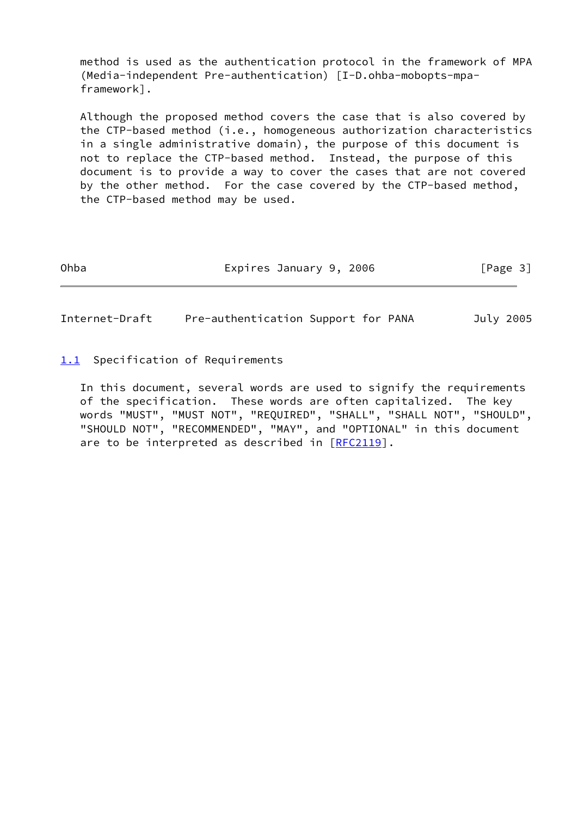method is used as the authentication protocol in the framework of MPA (Media-independent Pre-authentication) [I-D.ohba-mobopts-mpa framework].

 Although the proposed method covers the case that is also covered by the CTP-based method (i.e., homogeneous authorization characteristics in a single administrative domain), the purpose of this document is not to replace the CTP-based method. Instead, the purpose of this document is to provide a way to cover the cases that are not covered by the other method. For the case covered by the CTP-based method, the CTP-based method may be used.

| Ohba | Expires January 9, 2006 |  | [Page 3] |  |
|------|-------------------------|--|----------|--|
|      |                         |  |          |  |

<span id="page-3-1"></span>Internet-Draft Pre-authentication Support for PANA July 2005

#### <span id="page-3-0"></span>[1.1](#page-3-0) Specification of Requirements

 In this document, several words are used to signify the requirements of the specification. These words are often capitalized. The key words "MUST", "MUST NOT", "REQUIRED", "SHALL", "SHALL NOT", "SHOULD", "SHOULD NOT", "RECOMMENDED", "MAY", and "OPTIONAL" in this document are to be interpreted as described in  $[REC2119]$ .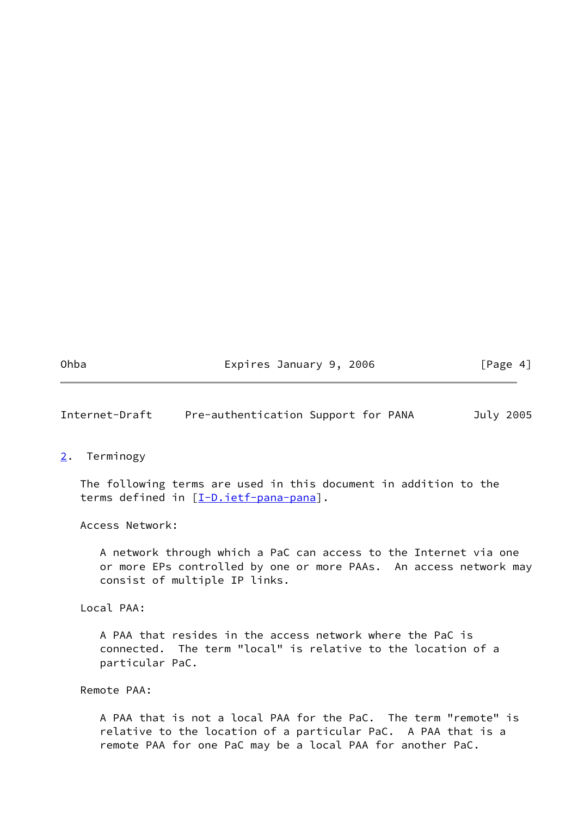Ohba **Expires January 9, 2006** [Page 4]

<span id="page-4-1"></span>Internet-Draft Pre-authentication Support for PANA July 2005

#### <span id="page-4-0"></span>[2](#page-4-0). Terminogy

 The following terms are used in this document in addition to the terms defined in [\[I-D.ietf-pana-pana\]](#page-17-4).

Access Network:

 A network through which a PaC can access to the Internet via one or more EPs controlled by one or more PAAs. An access network may consist of multiple IP links.

Local PAA:

 A PAA that resides in the access network where the PaC is connected. The term "local" is relative to the location of a particular PaC.

Remote PAA:

 A PAA that is not a local PAA for the PaC. The term "remote" is relative to the location of a particular PaC. A PAA that is a remote PAA for one PaC may be a local PAA for another PaC.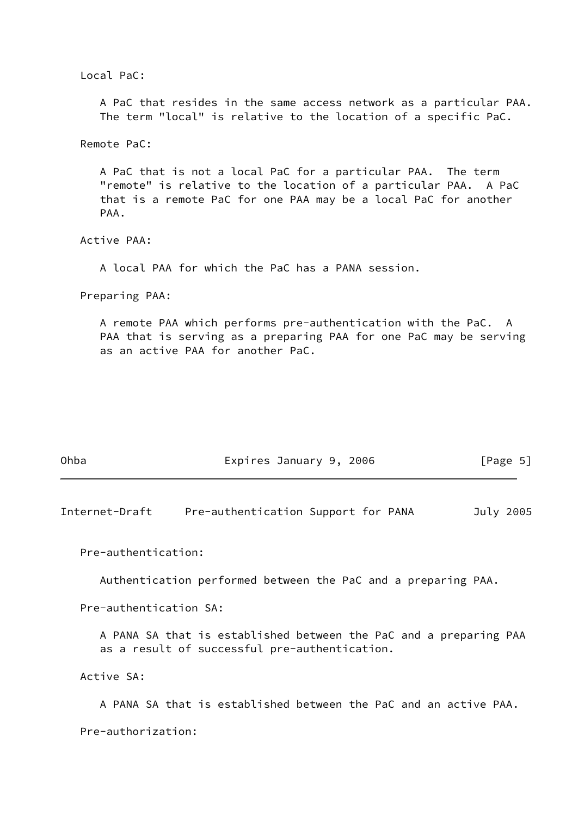Local PaC:

 A PaC that resides in the same access network as a particular PAA. The term "local" is relative to the location of a specific PaC.

Remote PaC:

 A PaC that is not a local PaC for a particular PAA. The term "remote" is relative to the location of a particular PAA. A PaC that is a remote PaC for one PAA may be a local PaC for another PAA.

Active PAA:

A local PAA for which the PaC has a PANA session.

Preparing PAA:

 A remote PAA which performs pre-authentication with the PaC. A PAA that is serving as a preparing PAA for one PaC may be serving as an active PAA for another PaC.

| Expires January 9, 2006 | [Page 5] |
|-------------------------|----------|
|                         |          |

Internet-Draft Pre-authentication Support for PANA July 2005

Pre-authentication:

Authentication performed between the PaC and a preparing PAA.

Pre-authentication SA:

 A PANA SA that is established between the PaC and a preparing PAA as a result of successful pre-authentication.

Active SA:

A PANA SA that is established between the PaC and an active PAA.

Pre-authorization: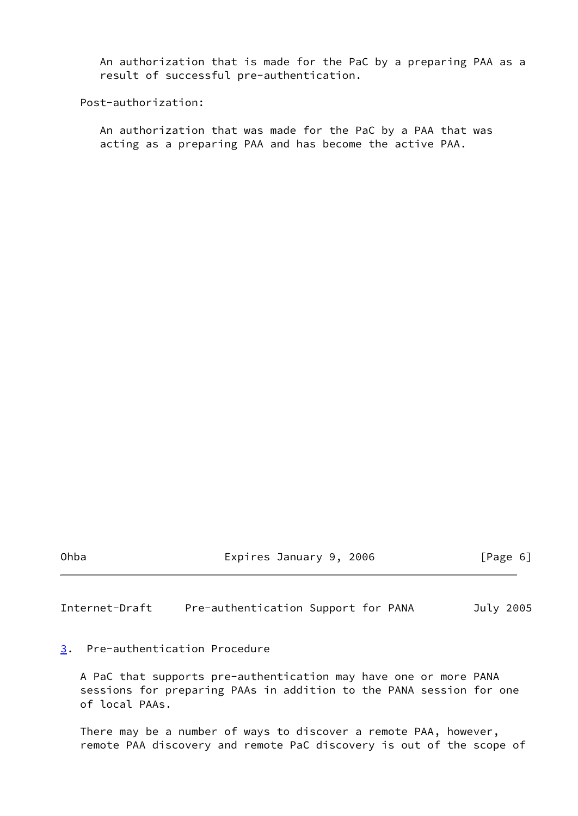An authorization that is made for the PaC by a preparing PAA as a result of successful pre-authentication.

Post-authorization:

 An authorization that was made for the PaC by a PAA that was acting as a preparing PAA and has become the active PAA.

Ohba **Expires January 9, 2006** [Page 6]

<span id="page-6-1"></span>Internet-Draft Pre-authentication Support for PANA July 2005

## <span id="page-6-0"></span>[3](#page-6-0). Pre-authentication Procedure

 A PaC that supports pre-authentication may have one or more PANA sessions for preparing PAAs in addition to the PANA session for one of local PAAs.

 There may be a number of ways to discover a remote PAA, however, remote PAA discovery and remote PaC discovery is out of the scope of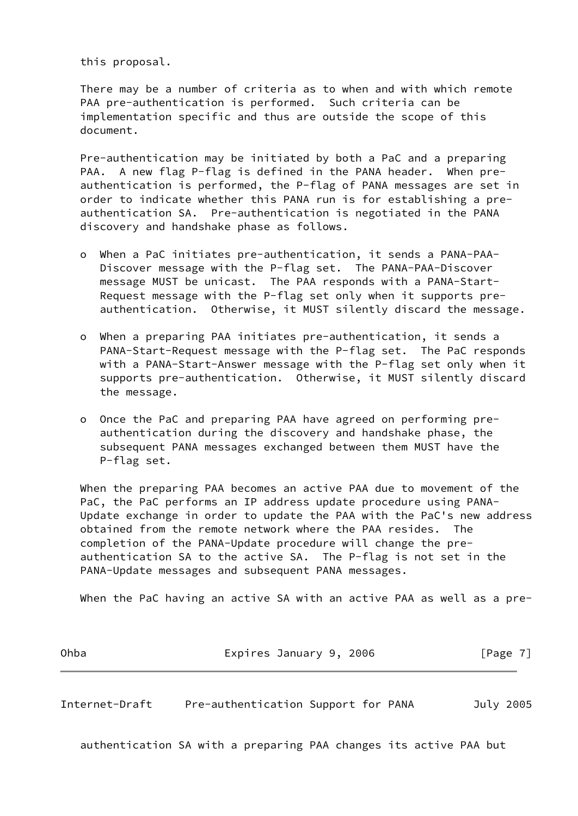this proposal.

 There may be a number of criteria as to when and with which remote PAA pre-authentication is performed. Such criteria can be implementation specific and thus are outside the scope of this document.

 Pre-authentication may be initiated by both a PaC and a preparing PAA. A new flag P-flag is defined in the PANA header. When pre authentication is performed, the P-flag of PANA messages are set in order to indicate whether this PANA run is for establishing a pre authentication SA. Pre-authentication is negotiated in the PANA discovery and handshake phase as follows.

- o When a PaC initiates pre-authentication, it sends a PANA-PAA- Discover message with the P-flag set. The PANA-PAA-Discover message MUST be unicast. The PAA responds with a PANA-Start- Request message with the P-flag set only when it supports pre authentication. Otherwise, it MUST silently discard the message.
- o When a preparing PAA initiates pre-authentication, it sends a PANA-Start-Request message with the P-flag set. The PaC responds with a PANA-Start-Answer message with the P-flag set only when it supports pre-authentication. Otherwise, it MUST silently discard the message.
- o Once the PaC and preparing PAA have agreed on performing pre authentication during the discovery and handshake phase, the subsequent PANA messages exchanged between them MUST have the P-flag set.

 When the preparing PAA becomes an active PAA due to movement of the PaC, the PaC performs an IP address update procedure using PANA- Update exchange in order to update the PAA with the PaC's new address obtained from the remote network where the PAA resides. The completion of the PANA-Update procedure will change the pre authentication SA to the active SA. The P-flag is not set in the PANA-Update messages and subsequent PANA messages.

When the PaC having an active SA with an active PAA as well as a pre-

| Ohba | Expires January 9, 2006 | [Page 7] |
|------|-------------------------|----------|
|      |                         |          |

Internet-Draft Pre-authentication Support for PANA July 2005

authentication SA with a preparing PAA changes its active PAA but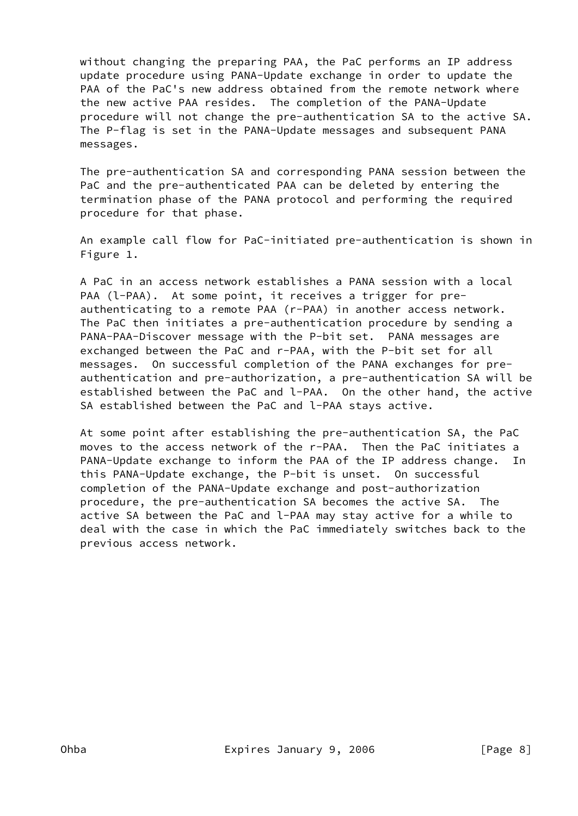without changing the preparing PAA, the PaC performs an IP address update procedure using PANA-Update exchange in order to update the PAA of the PaC's new address obtained from the remote network where the new active PAA resides. The completion of the PANA-Update procedure will not change the pre-authentication SA to the active SA. The P-flag is set in the PANA-Update messages and subsequent PANA messages.

 The pre-authentication SA and corresponding PANA session between the PaC and the pre-authenticated PAA can be deleted by entering the termination phase of the PANA protocol and performing the required procedure for that phase.

 An example call flow for PaC-initiated pre-authentication is shown in Figure 1.

 A PaC in an access network establishes a PANA session with a local PAA (l-PAA). At some point, it receives a trigger for pre authenticating to a remote PAA (r-PAA) in another access network. The PaC then initiates a pre-authentication procedure by sending a PANA-PAA-Discover message with the P-bit set. PANA messages are exchanged between the PaC and r-PAA, with the P-bit set for all messages. On successful completion of the PANA exchanges for pre authentication and pre-authorization, a pre-authentication SA will be established between the PaC and l-PAA. On the other hand, the active SA established between the PaC and l-PAA stays active.

 At some point after establishing the pre-authentication SA, the PaC moves to the access network of the r-PAA. Then the PaC initiates a PANA-Update exchange to inform the PAA of the IP address change. In this PANA-Update exchange, the P-bit is unset. On successful completion of the PANA-Update exchange and post-authorization procedure, the pre-authentication SA becomes the active SA. The active SA between the PaC and l-PAA may stay active for a while to deal with the case in which the PaC immediately switches back to the previous access network.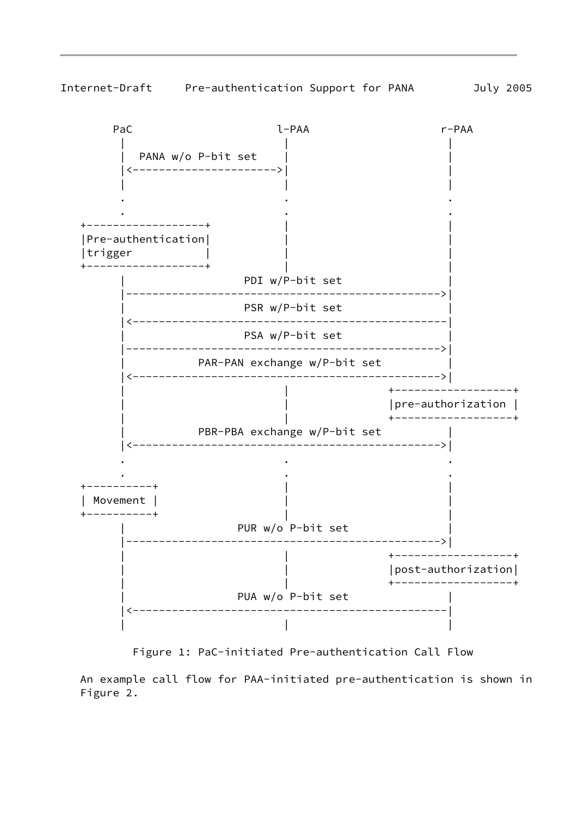

Figure 1: PaC-initiated Pre-authentication Call Flow

 An example call flow for PAA-initiated pre-authentication is shown in Figure 2.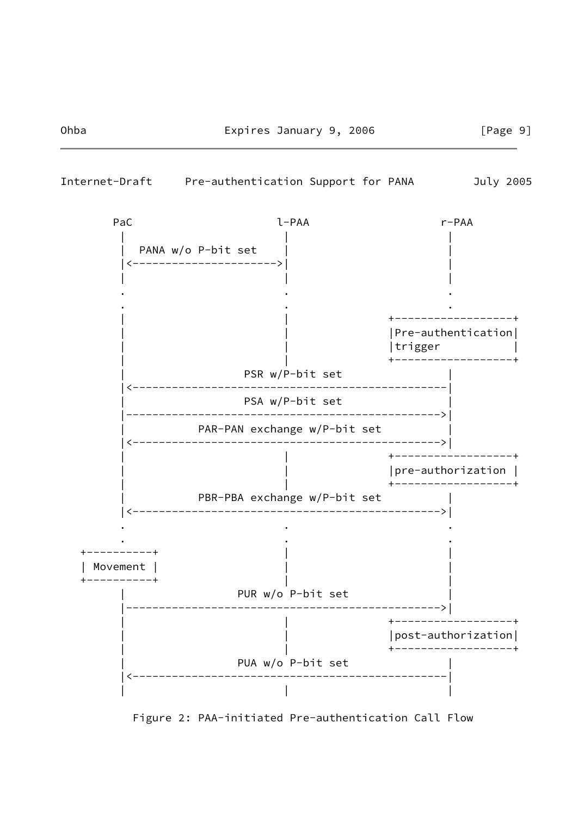



Internet-Draft Pre-authentication Support for PANA July 2005



Figure 2: PAA-initiated Pre-authentication Call Flow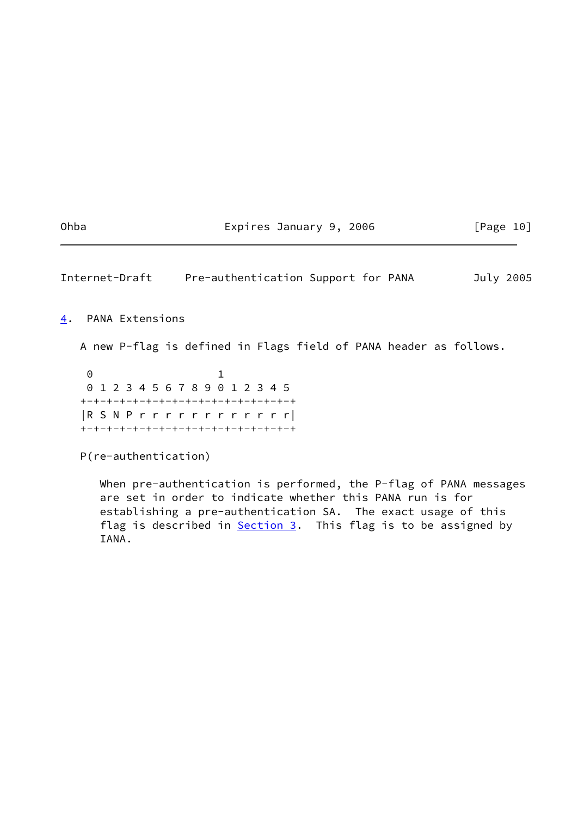## Ohba **Expires January 9, 2006** [Page 10]

<span id="page-11-1"></span>Internet-Draft Pre-authentication Support for PANA July 2005

<span id="page-11-0"></span>[4](#page-11-0). PANA Extensions

A new P-flag is defined in Flags field of PANA header as follows.

 0 1 0 1 2 3 4 5 6 7 8 9 0 1 2 3 4 5 +-+-+-+-+-+-+-+-+-+-+-+-+-+-+-+-+ |R S N P r r r r r r r r r r r r| +-+-+-+-+-+-+-+-+-+-+-+-+-+-+-+-+

P(re-authentication)

When pre-authentication is performed, the P-flag of PANA messages are set in order to indicate whether this PANA run is for establishing a pre-authentication SA. The exact usage of this flag is described in **Section 3.** This flag is to be assigned by IANA.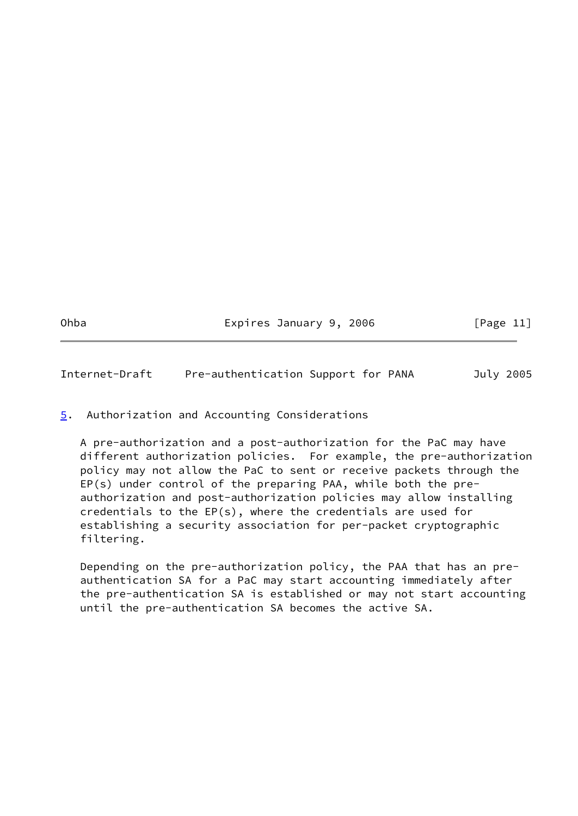Ohba **Expires January 9, 2006** [Page 11]

<span id="page-12-1"></span>Internet-Draft Pre-authentication Support for PANA July 2005

## <span id="page-12-0"></span>[5](#page-12-0). Authorization and Accounting Considerations

 A pre-authorization and a post-authorization for the PaC may have different authorization policies. For example, the pre-authorization policy may not allow the PaC to sent or receive packets through the EP(s) under control of the preparing PAA, while both the pre authorization and post-authorization policies may allow installing credentials to the EP(s), where the credentials are used for establishing a security association for per-packet cryptographic filtering.

 Depending on the pre-authorization policy, the PAA that has an pre authentication SA for a PaC may start accounting immediately after the pre-authentication SA is established or may not start accounting until the pre-authentication SA becomes the active SA.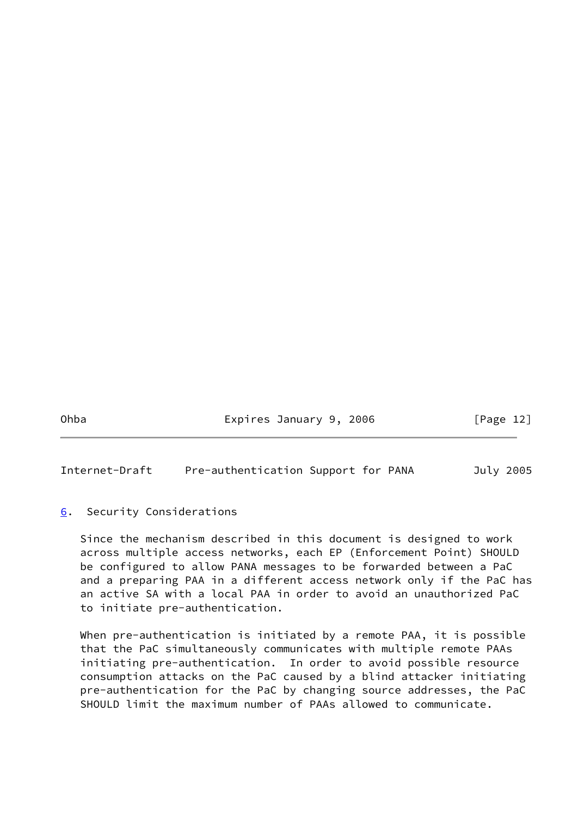Ohba **Expires January 9, 2006** [Page 12]

<span id="page-13-1"></span>Internet-Draft Pre-authentication Support for PANA July 2005

### <span id="page-13-0"></span>[6](#page-13-0). Security Considerations

 Since the mechanism described in this document is designed to work across multiple access networks, each EP (Enforcement Point) SHOULD be configured to allow PANA messages to be forwarded between a PaC and a preparing PAA in a different access network only if the PaC has an active SA with a local PAA in order to avoid an unauthorized PaC to initiate pre-authentication.

When pre-authentication is initiated by a remote PAA, it is possible that the PaC simultaneously communicates with multiple remote PAAs initiating pre-authentication. In order to avoid possible resource consumption attacks on the PaC caused by a blind attacker initiating pre-authentication for the PaC by changing source addresses, the PaC SHOULD limit the maximum number of PAAs allowed to communicate.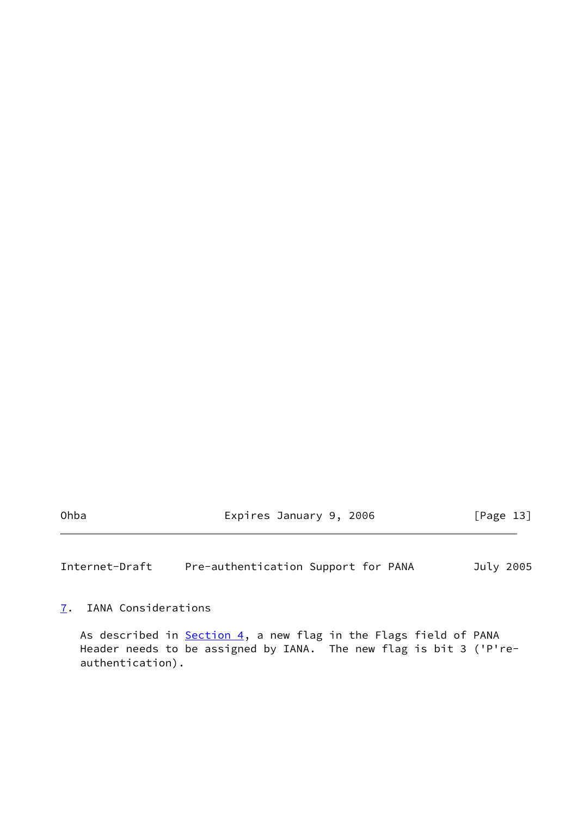Ohba **Expires January 9, 2006** [Page 13]

<span id="page-14-1"></span>Internet-Draft Pre-authentication Support for PANA July 2005

<span id="page-14-0"></span>[7](#page-14-0). IANA Considerations

As described in **Section 4**, a new flag in the Flags field of PANA Header needs to be assigned by IANA. The new flag is bit 3 ('P're authentication).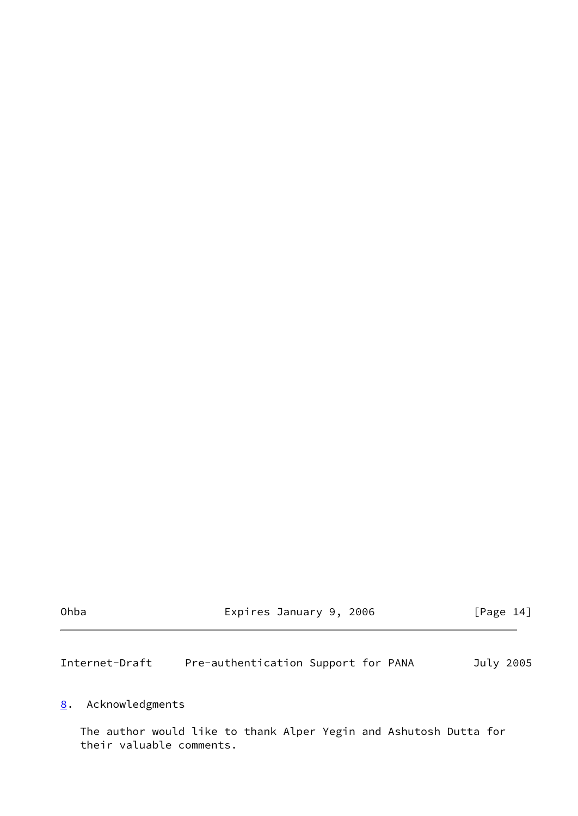| × | ×<br>٧ |
|---|--------|
|---|--------|

Expires January 9, 2006 [Page 14]

<span id="page-15-1"></span>Internet-Draft Pre-authentication Support for PANA July 2005

<span id="page-15-0"></span>[8](#page-15-0). Acknowledgments

 The author would like to thank Alper Yegin and Ashutosh Dutta for their valuable comments.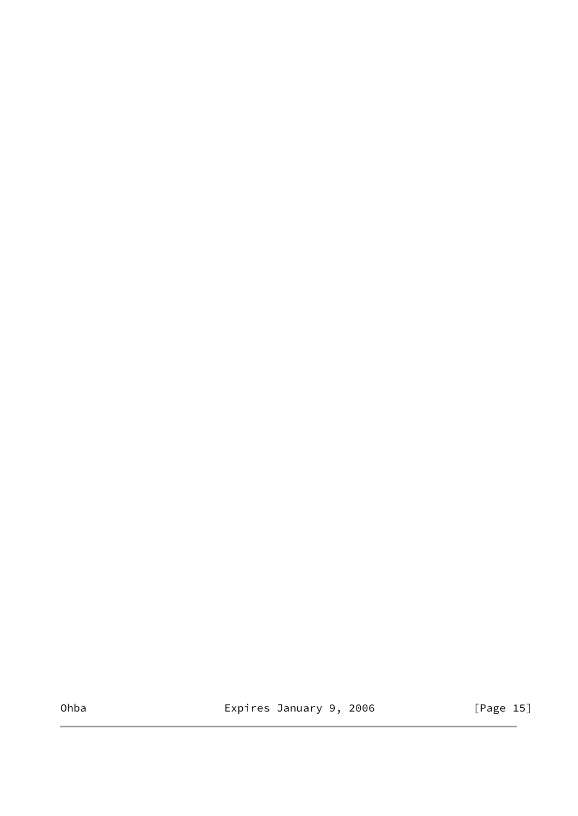Ohba **Expires January 9, 2006** [Page 15]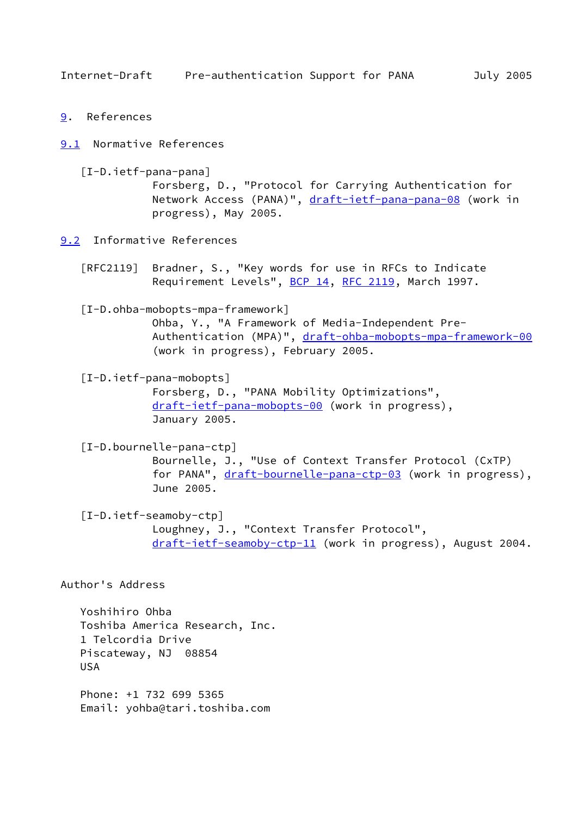- <span id="page-17-1"></span><span id="page-17-0"></span>[9](#page-17-0). References
- <span id="page-17-2"></span>[9.1](#page-17-2) Normative References

```
 [I-D.ietf-pana-pana]
```
 Forsberg, D., "Protocol for Carrying Authentication for Network Access (PANA)", [draft-ietf-pana-pana-08](https://datatracker.ietf.org/doc/pdf/draft-ietf-pana-pana-08) (work in progress), May 2005.

- <span id="page-17-3"></span>[9.2](#page-17-3) Informative References
	- [RFC2119] Bradner, S., "Key words for use in RFCs to Indicate Requirement Levels", [BCP 14](https://datatracker.ietf.org/doc/pdf/bcp14), [RFC 2119](https://datatracker.ietf.org/doc/pdf/rfc2119), March 1997.

#### [I-D.ohba-mobopts-mpa-framework]

 Ohba, Y., "A Framework of Media-Independent Pre Authentication (MPA)", [draft-ohba-mobopts-mpa-framework-00](https://datatracker.ietf.org/doc/pdf/draft-ohba-mobopts-mpa-framework-00) (work in progress), February 2005.

[I-D.ietf-pana-mobopts]

 Forsberg, D., "PANA Mobility Optimizations", [draft-ietf-pana-mobopts-00](https://datatracker.ietf.org/doc/pdf/draft-ietf-pana-mobopts-00) (work in progress), January 2005.

<span id="page-17-6"></span>[I-D.bournelle-pana-ctp]

 Bournelle, J., "Use of Context Transfer Protocol (CxTP) for PANA", [draft-bournelle-pana-ctp-03](https://datatracker.ietf.org/doc/pdf/draft-bournelle-pana-ctp-03) (work in progress), June 2005.

<span id="page-17-5"></span> [I-D.ietf-seamoby-ctp] Loughney, J., "Context Transfer Protocol", [draft-ietf-seamoby-ctp-11](https://datatracker.ietf.org/doc/pdf/draft-ietf-seamoby-ctp-11) (work in progress), August 2004.

Author's Address

 Yoshihiro Ohba Toshiba America Research, Inc. 1 Telcordia Drive Piscateway, NJ 08854 USA

 Phone: +1 732 699 5365 Email: yohba@tari.toshiba.com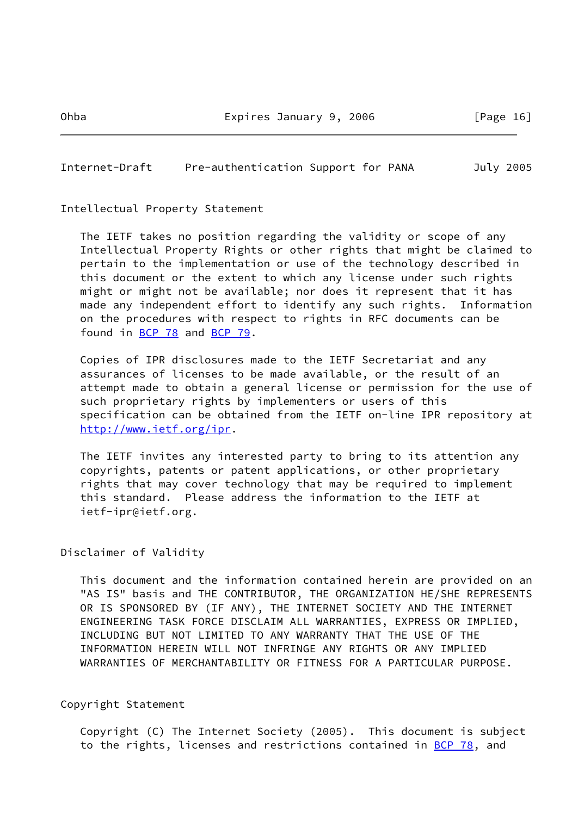<span id="page-18-0"></span>Internet-Draft Pre-authentication Support for PANA July 2005

Intellectual Property Statement

 The IETF takes no position regarding the validity or scope of any Intellectual Property Rights or other rights that might be claimed to pertain to the implementation or use of the technology described in this document or the extent to which any license under such rights might or might not be available; nor does it represent that it has made any independent effort to identify any such rights. Information on the procedures with respect to rights in RFC documents can be found in [BCP 78](https://datatracker.ietf.org/doc/pdf/bcp78) and [BCP 79](https://datatracker.ietf.org/doc/pdf/bcp79).

 Copies of IPR disclosures made to the IETF Secretariat and any assurances of licenses to be made available, or the result of an attempt made to obtain a general license or permission for the use of such proprietary rights by implementers or users of this specification can be obtained from the IETF on-line IPR repository at <http://www.ietf.org/ipr>.

 The IETF invites any interested party to bring to its attention any copyrights, patents or patent applications, or other proprietary rights that may cover technology that may be required to implement this standard. Please address the information to the IETF at ietf-ipr@ietf.org.

Disclaimer of Validity

 This document and the information contained herein are provided on an "AS IS" basis and THE CONTRIBUTOR, THE ORGANIZATION HE/SHE REPRESENTS OR IS SPONSORED BY (IF ANY), THE INTERNET SOCIETY AND THE INTERNET ENGINEERING TASK FORCE DISCLAIM ALL WARRANTIES, EXPRESS OR IMPLIED, INCLUDING BUT NOT LIMITED TO ANY WARRANTY THAT THE USE OF THE INFORMATION HEREIN WILL NOT INFRINGE ANY RIGHTS OR ANY IMPLIED WARRANTIES OF MERCHANTABILITY OR FITNESS FOR A PARTICULAR PURPOSE.

Copyright Statement

 Copyright (C) The Internet Society (2005). This document is subject to the rights, licenses and restrictions contained in **BCP 78**, and